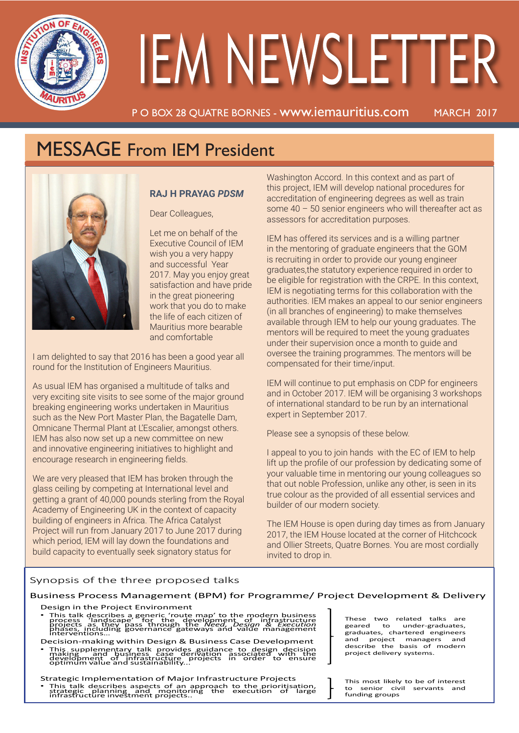

# **IEM NEWSLETTER**

P O BOX 28 QUATRE BORNES - www.iemauritius.com MARCH 2017

# MESSAGE From IEM President



### **RAJ H PRAYAG** *PDSM*

Dear Colleagues,

Let me on behalf of the Executive Council of IEM wish you a very happy and successful Year 2017. May you enjoy great satisfaction and have pride in the great pioneering work that you do to make the life of each citizen of Mauritius more bearable and comfortable

I am delighted to say that 2016 has been a good year all round for the Institution of Engineers Mauritius.

As usual IEM has organised a multitude of talks and very exciting site visits to see some of the major ground breaking engineering works undertaken in Mauritius such as the New Port Master Plan, the Bagatelle Dam, Omnicane Thermal Plant at L'Escalier, amongst others. IEM has also now set up a new committee on new and innovative engineering initiatives to highlight and encourage research in engineering fields.

We are very pleased that IEM has broken through the glass ceiling by competing at International level and getting a grant of 40,000 pounds sterling from the Royal Academy of Engineering UK in the context of capacity building of engineers in Africa. The Africa Catalyst Project will run from January 2017 to June 2017 during which period, IEM will lay down the foundations and build capacity to eventually seek signatory status for

Washington Accord. In this context and as part of this project, IEM will develop national procedures for accreditation of engineering degrees as well as train some 40 – 50 senior engineers who will thereafter act as assessors for accreditation purposes.

IEM has offered its services and is a willing partner in the mentoring of graduate engineers that the GOM is recruiting in order to provide our young engineer graduates,the statutory experience required in order to be eligible for registration with the CRPE. In this context, IEM is negotiating terms for this collaboration with the authorities. IEM makes an appeal to our senior engineers (in all branches of engineering) to make themselves available through IEM to help our young graduates. The mentors will be required to meet the young graduates under their supervision once a month to guide and oversee the training programmes. The mentors will be compensated for their time/input.

IEM will continue to put emphasis on CDP for engineers and in October 2017. IEM will be organising 3 workshops of international standard to be run by an international expert in September 2017.

Please see a synopsis of these below.

I appeal to you to join hands with the EC of IEM to help lift up the profile of our profession by dedicating some of your valuable time in mentoring our young colleagues so that out noble Profession, unlike any other, is seen in its true colour as the provided of all essential services and builder of our modern society.

The IEM House is open during day times as from January 2017, the IEM House located at the corner of Hitchcock and Ollier Streets, Quatre Bornes. You are most cordially invited to drop in.

### Synopsis of the three proposed talks

Business Process Management (BPM) for Programme/ Project Development & Delivery

- Design in the Project Environment
- This talk describes a generic 'route map' to the modern business<br>process 'landscape' for the development of infrastructure<br>projects as they pass through the *Need, Design & Execution*<br>phases, including governance gateway Decision-making within Design & Business Case Development
- This supplementary talk provides guidance to design decision<br>making and business case derivation associated with the<br>development of infrastructure projects in order to ensure<br>optimum value and sustainability...

Strategic Implementation of Major Infrastructure Projects This talk describes aspects of an approach to the prioritisation,<br>strategic planning and monitoring the execution of large<br>infrastructure investment projects..

These two related talks are geared to under-graduates, graduates, chartered engineers and project managers and describe the basis of modern project delivery systems.

This most likely to be of interest to senior civil servants and funding groups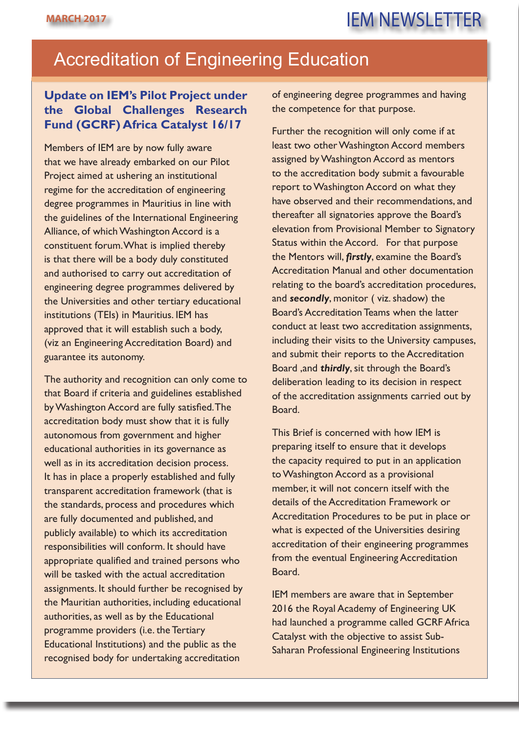# **MARCH 2017** IEM NEWSLETTER

### Accreditation of Engineering Education

### **Update on IEM's Pilot Project under the Global Challenges Research Fund (GCRF) Africa Catalyst 16/17**

Members of IEM are by now fully aware that we have already embarked on our Pilot Project aimed at ushering an institutional regime for the accreditation of engineering degree programmes in Mauritius in line with the guidelines of the International Engineering Alliance, of which Washington Accord is a constituent forum. What is implied thereby is that there will be a body duly constituted and authorised to carry out accreditation of engineering degree programmes delivered by the Universities and other tertiary educational institutions (TEIs) in Mauritius. IEM has approved that it will establish such a body, (viz an Engineering Accreditation Board) and guarantee its autonomy.

The authority and recognition can only come to that Board if criteria and guidelines established by Washington Accord are fully satisfied. The accreditation body must show that it is fully autonomous from government and higher educational authorities in its governance as well as in its accreditation decision process. It has in place a properly established and fully transparent accreditation framework (that is the standards, process and procedures which are fully documented and published, and publicly available) to which its accreditation responsibilities will conform. It should have appropriate qualified and trained persons who will be tasked with the actual accreditation assignments. It should further be recognised by the Mauritian authorities, including educational authorities, as well as by the Educational programme providers (i.e. the Tertiary Educational Institutions) and the public as the recognised body for undertaking accreditation

of engineering degree programmes and having the competence for that purpose.

Further the recognition will only come if at least two other Washington Accord members assigned by Washington Accord as mentors to the accreditation body submit a favourable report to Washington Accord on what they have observed and their recommendations, and thereafter all signatories approve the Board's elevation from Provisional Member to Signatory Status within the Accord. For that purpose the Mentors will, *firstly*, examine the Board's Accreditation Manual and other documentation relating to the board's accreditation procedures, and *secondly*, monitor ( viz. shadow) the Board's Accreditation Teams when the latter conduct at least two accreditation assignments, including their visits to the University campuses, and submit their reports to the Accreditation Board ,and *thirdly*, sit through the Board's deliberation leading to its decision in respect of the accreditation assignments carried out by Board.

This Brief is concerned with how IEM is preparing itself to ensure that it develops the capacity required to put in an application to Washington Accord as a provisional member, it will not concern itself with the details of the Accreditation Framework or Accreditation Procedures to be put in place or what is expected of the Universities desiring accreditation of their engineering programmes from the eventual Engineering Accreditation Board.

IEM members are aware that in September 2016 the Royal Academy of Engineering UK had launched a programme called GCRF Africa Catalyst with the objective to assist Sub-Saharan Professional Engineering Institutions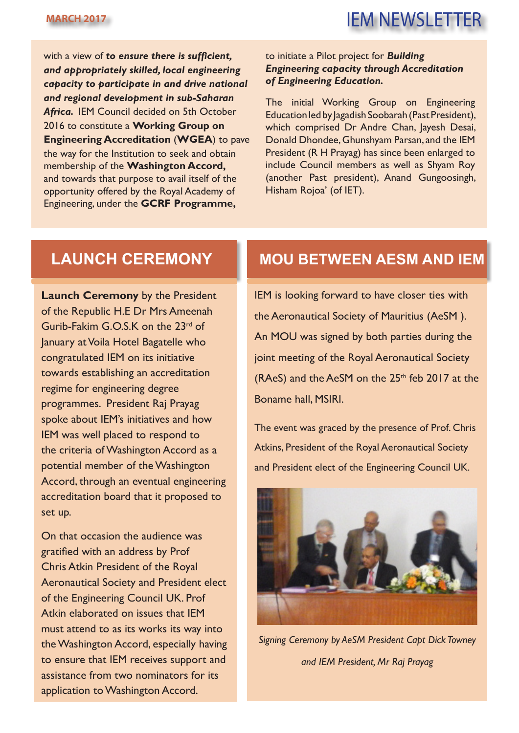with a view of *to ensure there is sufficient, and appropriately skilled, local engineering capacity to participate in and drive national and regional development in sub-Saharan Africa.* IEM Council decided on 5th October 2016 to constitute a **Working Group on Engineering Accreditation** (**WGEA**) to pave the way for the Institution to seek and obtain membership of the **Washington Accord,**  and towards that purpose to avail itself of the opportunity offered by the Royal Academy of Engineering, under the **GCRF Programme,**

### to initiate a Pilot project for *Building Engineering capacity through Accreditation of Engineering Education.*

The initial Working Group on Engineering Education led by Jagadish Soobarah (Past President), which comprised Dr Andre Chan, Jayesh Desai, Donald Dhondee, Ghunshyam Parsan, and the IEM President (R H Prayag) has since been enlarged to include Council members as well as Shyam Roy (another Past president), Anand Gungoosingh, Hisham Rojoa' (of IET).

**Launch Ceremony** by the President of the Republic H.E Dr Mrs Ameenah Gurib-Fakim G.O.S.K on the 23<sup>rd</sup> of January at Voila Hotel Bagatelle who congratulated IEM on its initiative towards establishing an accreditation regime for engineering degree programmes. President Raj Prayag spoke about IEM's initiatives and how IEM was well placed to respond to the criteria of Washington Accord as a potential member of the Washington Accord, through an eventual engineering accreditation board that it proposed to set up.

On that occasion the audience was gratified with an address by Prof Chris Atkin President of the Royal Aeronautical Society and President elect of the Engineering Council UK. Prof Atkin elaborated on issues that IEM must attend to as its works its way into the Washington Accord, especially having to ensure that IEM receives support and assistance from two nominators for its application to Washington Accord.

### **LAUNCH CEREMONY MOU BETWEEN AESM AND IEM**

IEM is looking forward to have closer ties with the Aeronautical Society of Mauritius (AeSM ). An MOU was signed by both parties during the joint meeting of the Royal Aeronautical Society (RAeS) and the AeSM on the  $25<sup>th</sup>$  feb 2017 at the Boname hall, MSIRI.

The event was graced by the presence of Prof. Chris Atkins, President of the Royal Aeronautical Society and President elect of the Engineering Council UK.



*Signing Ceremony by AeSM President Capt Dick Towney and IEM President, Mr Raj Prayag*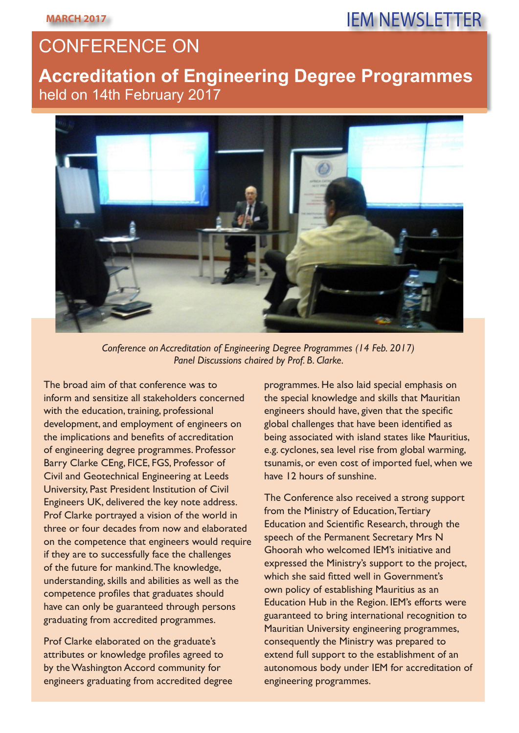# CONFERENCE ON

### **Accreditation of Engineering Degree Programmes**  held on 14th February 2017



*Conference on Accreditation of Engineering Degree Programmes (14 Feb. 2017) Panel Discussions chaired by Prof. B. Clarke.*

The broad aim of that conference was to inform and sensitize all stakeholders concerned with the education, training, professional development, and employment of engineers on the implications and benefits of accreditation of engineering degree programmes. Professor Barry Clarke CEng, FICE, FGS, Professor of Civil and Geotechnical Engineering at Leeds University, Past President Institution of Civil Engineers UK, delivered the key note address. Prof Clarke portrayed a vision of the world in three or four decades from now and elaborated on the competence that engineers would require if they are to successfully face the challenges of the future for mankind. The knowledge, understanding, skills and abilities as well as the competence profiles that graduates should have can only be guaranteed through persons graduating from accredited programmes.

Prof Clarke elaborated on the graduate's attributes or knowledge profiles agreed to by the Washington Accord community for engineers graduating from accredited degree

programmes. He also laid special emphasis on the special knowledge and skills that Mauritian engineers should have, given that the specific global challenges that have been identified as being associated with island states like Mauritius, e.g. cyclones, sea level rise from global warming, tsunamis, or even cost of imported fuel, when we have 12 hours of sunshine.

The Conference also received a strong support from the Ministry of Education, Tertiary Education and Scientific Research, through the speech of the Permanent Secretary Mrs N Ghoorah who welcomed IEM's initiative and expressed the Ministry's support to the project, which she said fitted well in Government's own policy of establishing Mauritius as an Education Hub in the Region. IEM's efforts were guaranteed to bring international recognition to Mauritian University engineering programmes, consequently the Ministry was prepared to extend full support to the establishment of an autonomous body under IEM for accreditation of engineering programmes.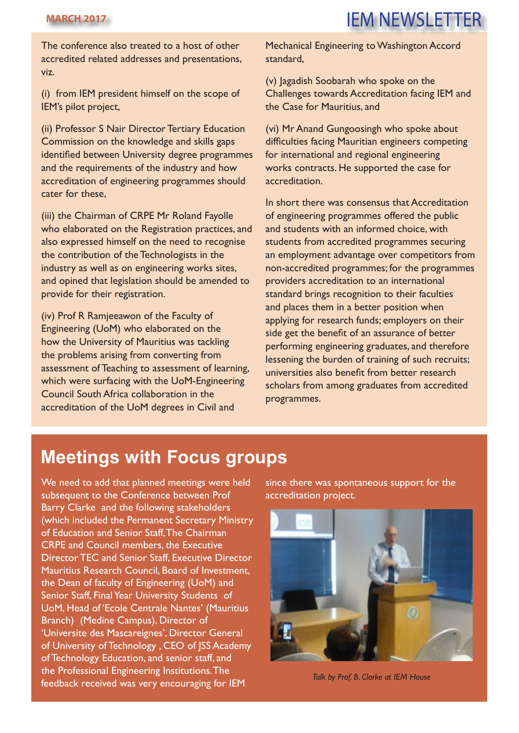**MARCH 2017** IEM NEWSLETTER

The conference also treated to a host of other accredited related addresses and presentations, viz.

(i) from IEM president himself on the scope of IEM's pilot project,

(ii) Professor S Nair Director Tertiary Education Commission on the knowledge and skills gaps identified between University degree programmes and the requirements of the industry and how accreditation of engineering programmes should cater for these,

(iii) the Chairman of CRPE Mr Roland Fayolle who elaborated on the Registration practices, and also expressed himself on the need to recognise the contribution of the Technologists in the industry as well as on engineering works sites, and opined that legislation should be amended to provide for their registration.

(iv) Prof R Ramjeeawon of the Faculty of Engineering (UoM) who elaborated on the how the University of Mauritius was tackling the problems arising from converting from assessment of Teaching to assessment of learning, which were surfacing with the UoM-Engineering Council South Africa collaboration in the accreditation of the UoM degrees in Civil and

Mechanical Engineering to Washington Accord standard,

(v) Jagadish Soobarah who spoke on the Challenges towards Accreditation facing IEM and the Case for Mauritius, and

(vi) Mr Anand Gungoosingh who spoke about difficulties facing Mauritian engineers competing for international and regional engineering works contracts. He supported the case for accreditation.

In short there was consensus that Accreditation of engineering programmes offered the public and students with an informed choice, with students from accredited programmes securing an employment advantage over competitors from non-accredited programmes; for the programmes providers accreditation to an international standard brings recognition to their faculties and places them in a better position when applying for research funds; employers on their side get the benefit of an assurance of better performing engineering graduates, and therefore lessening the burden of training of such recruits; universities also benefit from better research scholars from among graduates from accredited programmes.

### **Meetings with Focus groups**

We need to add that planned meetings were held subsequent to the Conference between Prof Barry Clarke and the following stakeholders (which included the Permanent Secretary Ministry of Education and Senior Staff, The Chairman CRPE and Council members, the Executive Director TEC and Senior Staff, Executive Director Mauritius Research Council, Board of Investment, the Dean of faculty of Engineering (UoM) and Senior Staff, Final Year University Students of UoM, Head of 'Ecole Centrale Nantes' (Mauritius Branch) (Medine Campus), Director of 'Universite des Mascareignes', Director General of University of Technology , CEO of JSS Academy of Technology Education, and senior staff, and the Professional Engineering Institutions. The feedback received was very encouraging for IEM

since there was spontaneous support for the accreditation project.



*Talk by Prof. B. Clarke at IEM House*